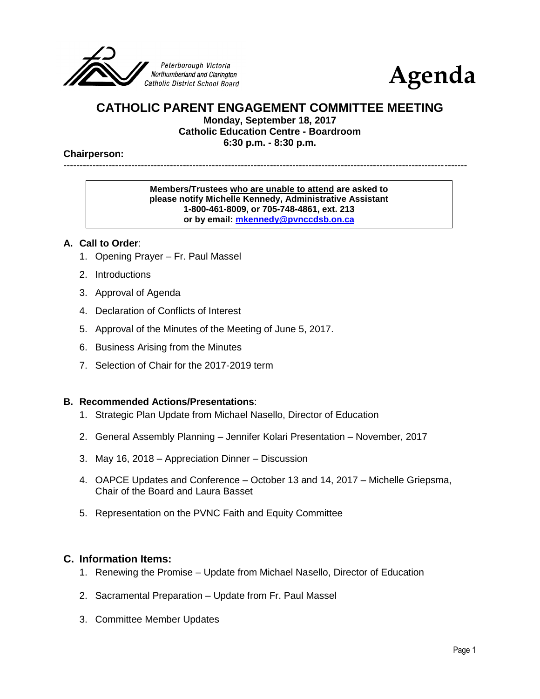



## **CATHOLIC PARENT ENGAGEMENT COMMITTEE MEETING**

**Monday, September 18, 2017**

**Catholic Education Centre - Boardroom**

**6:30 p.m. - 8:30 p.m.**

#### **Chairperson:**

# -----------------------------------------------------------------------------------------------------------------------------

#### **Members/Trustees who are unable to attend are asked to please notify Michelle Kennedy, Administrative Assistant 1-800-461-8009, or 705-748-4861, ext. 213 or by email: [mkennedy@pvnccdsb.on.ca](mailto:mkennedy@pvnccdsb.on.ca)**

#### **A. Call to Order**:

- 1. Opening Prayer Fr. Paul Massel
- 2. Introductions
- 3. Approval of Agenda
- 4. Declaration of Conflicts of Interest
- 5. Approval of the Minutes of the Meeting of June 5, 2017.
- 6. Business Arising from the Minutes
- 7. Selection of Chair for the 2017-2019 term

#### **B. Recommended Actions/Presentations**:

- 1. Strategic Plan Update from Michael Nasello, Director of Education
- 2. General Assembly Planning Jennifer Kolari Presentation November, 2017
- 3. May 16, 2018 Appreciation Dinner Discussion
- 4. OAPCE Updates and Conference October 13 and 14, 2017 Michelle Griepsma, Chair of the Board and Laura Basset
- 5. Representation on the PVNC Faith and Equity Committee

## **C. Information Items:**

- 1. Renewing the Promise Update from Michael Nasello, Director of Education
- 2. Sacramental Preparation Update from Fr. Paul Massel
- 3. Committee Member Updates